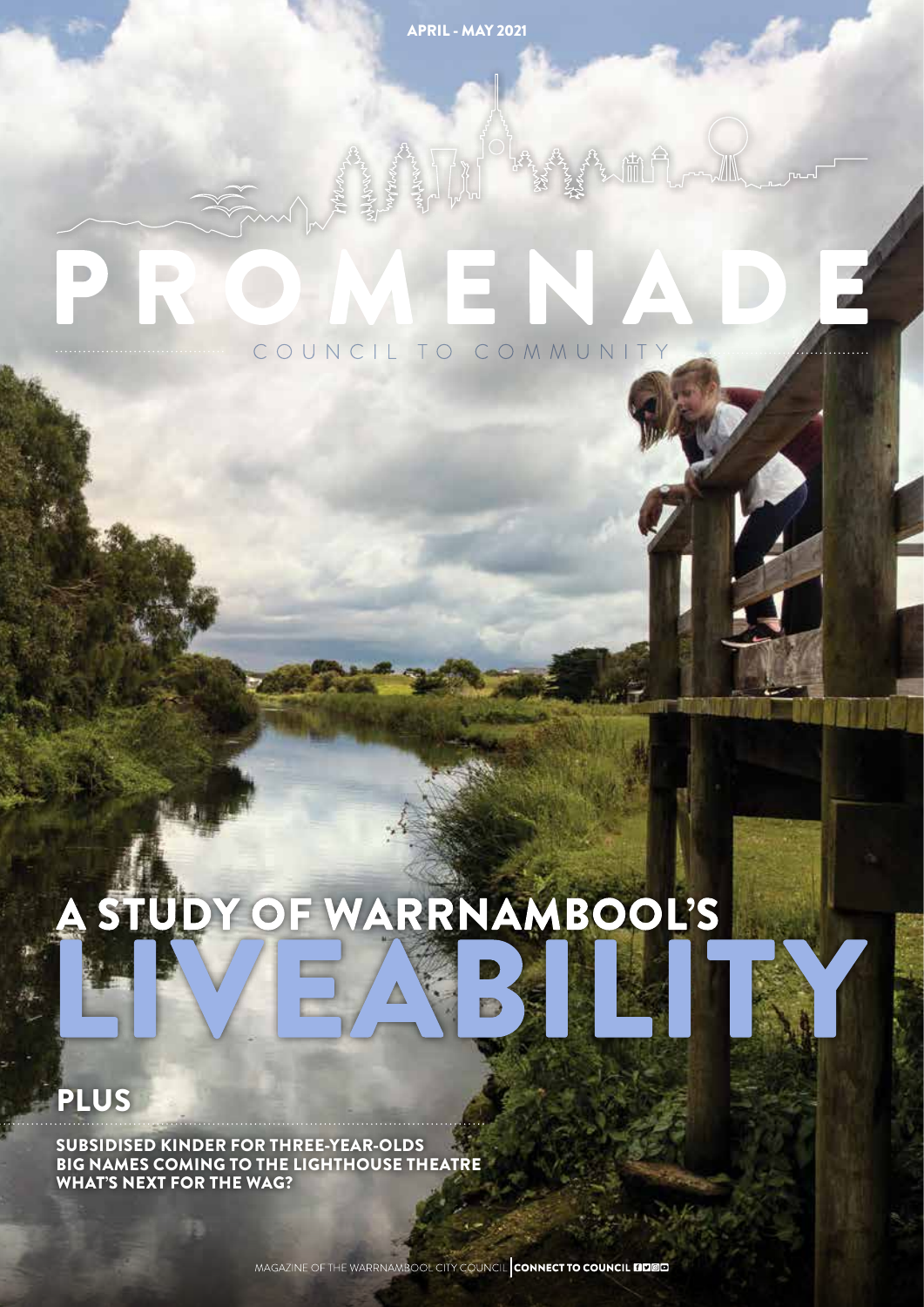APRIL - MAY 2021

# COUNCIL TO COMMUNITY

# STUDY OF WARRNAMBOOL'S

# PLUS

SUBSIDISED KINDER FOR THREE-YEAR-OLDS BIG NAMES COMING TO THE LIGHTHOUSE THEATRE WHAT'S NEXT FOR THE WAG?

MAGAZINE OF THE WARRNAMBOOL CITY COUNCIL CONNECT TO COUNCIL FIDED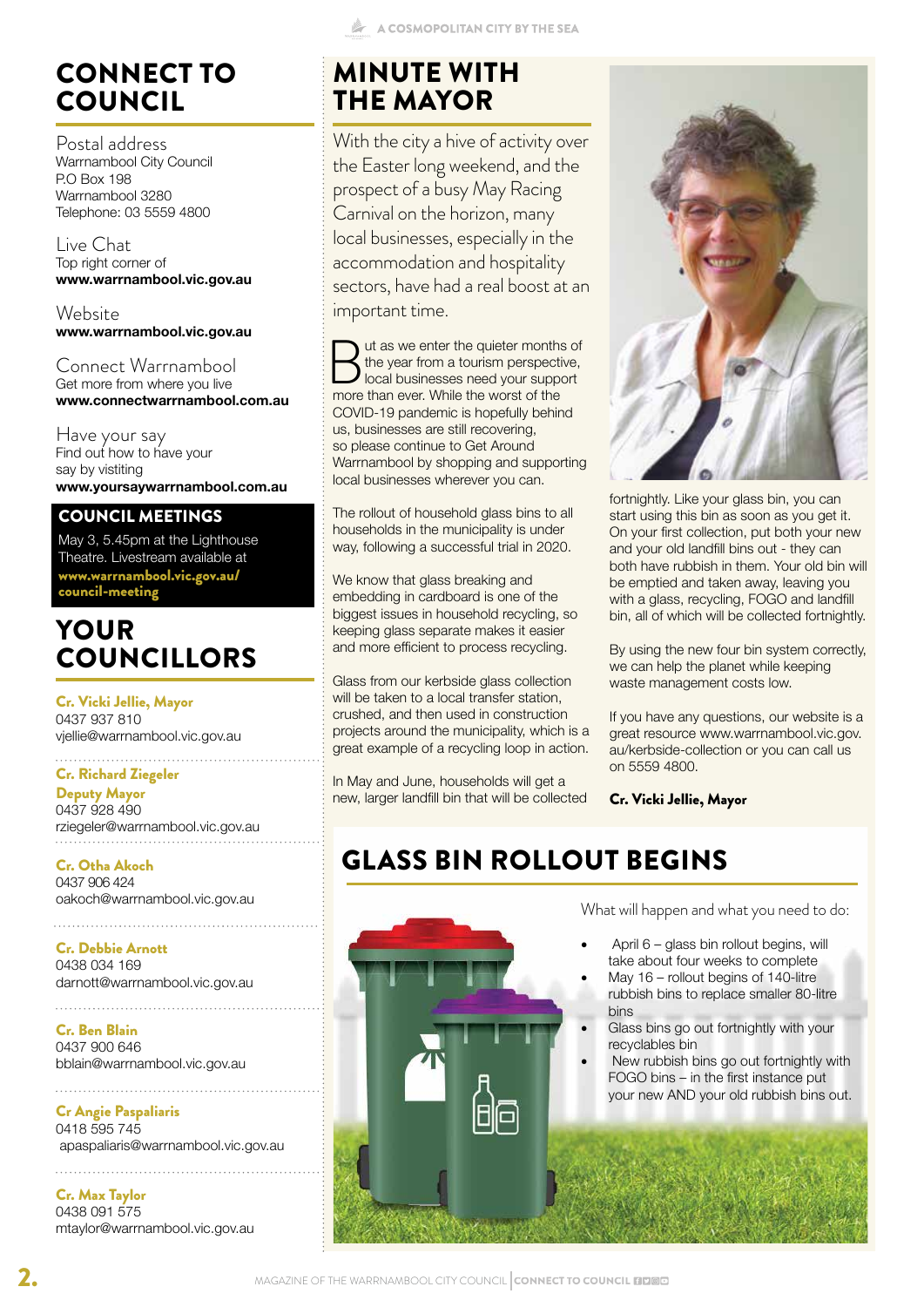With the city a hive of activity over the Easter long weekend, and the prospect of a busy May Racing Carnival on the horizon, many local businesses, especially in the accommodation and hospitality sectors, have had a real boost at an

ut as we enter the quieter months of the year from a tourism perspective, local businesses need your support more than ever. While the worst of the COVID-19 pandemic is hopefully behind us, businesses are still recovering, so please continue to Get Around

Warrnambool by shopping and supporting local businesses wherever you can.

The rollout of household glass bins to all households in the municipality is under way, following a successful trial in 2020.

Glass from our kerbside glass collection will be taken to a local transfer station. crushed, and then used in construction projects around the municipality, which is a great example of a recycling loop in action.

In May and June, households will get a new, larger landfill bin that will be collected

We know that glass breaking and embedding in cardboard is one of the biggest issues in household recycling, so keeping glass separate makes it easier and more efficient to process recycling.

MINUTE WITH THE MAYOR

important time.

# CONNECT TO COUNCIL

Postal address Warrnambool City Council P.O Box 198 Warrnambool 3280 Telephone: 03 5559 4800

Live Chat Top right corner of **www.warrnambool.vic.gov.au**

**Website www.warrnambool.vic.gov.au**

Connect Warrnambool Get more from where you live **www.connectwarrnambool.com.au**

Have your say Find out how to have your say by vistiting **www.yoursaywarrnambool.com.au**

#### COUNCIL MEETINGS

May 3, 5,45pm at the Lighthouse Theatre. Livestream available at www.warrnambool.vic.gov.au/ council-meeting

## YOUR COUNCILLORS

Cr. Vicki Jellie, Mayor 0437 937 810 vjellie@warrnambool.vic.gov.au

#### . . . . . . . . . . . . . . . . Cr. Richard Ziegeler

Deputy Mayor 0437 928 490 rziegeler@warrnambool.vic.gov.au

Cr. Otha Akoch 0437 906 424 oakoch@warrnambool.vic.gov.au

Cr. Debbie Arnott 0438 034 169 darnott@warrnambool.vic.gov.au

Cr. Ben Blain 0437 900 646 bblain@warrnambool.vic.gov.au

. . . . . . . . . . . . . . .

Cr Angie Paspaliaris 0418 595 745 apaspaliaris@warrnambool.vic.gov.au

Cr. Max Taylor 0438 091 575 mtaylor@warrnambool.vic.gov.au



On your first collection, put both your new and your old landfill bins out - they can both have rubbish in them. Your old bin will be emptied and taken away, leaving you with a glass, recycling, FOGO and landfill bin, all of which will be collected fortnightly.

By using the new four bin system correctly, we can help the planet while keeping waste management costs low.

If you have any questions, our website is a great resource www.warrnambool.vic.gov. au/kerbside-collection or you can call us on 5559 4800.

Cr. Vicki Jellie, Mayor

# GLASS BIN ROLLOUT BEGINS



What will happen and what you need to do:

- April 6 glass bin rollout begins, will take about four weeks to complete
- May 16 rollout begins of 140-litre rubbish bins to replace smaller 80-litre bins
- Glass bins go out fortnightly with your recyclables bin
- New rubbish bins go out fortnightly with FOGO bins – in the first instance put your new AND your old rubbish bins out.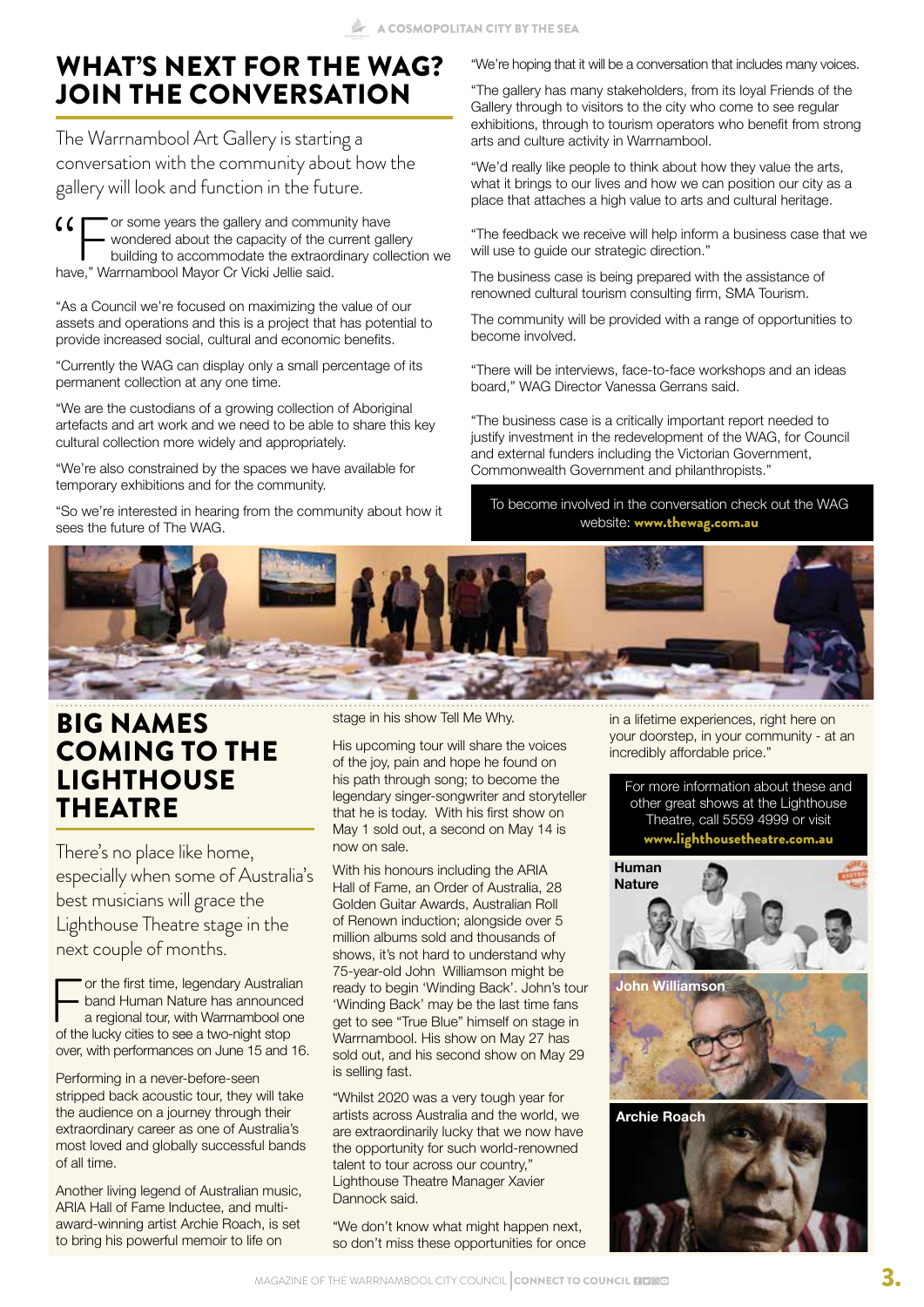# WHAT'S NEXT FOR THE WAG? JOIN THE CONVERSATION

The Warrnambool Art Gallery is starting a conversation with the community about how the gallery will look and function in the future.

" or some years the gallery and community have wondered about the capacity of the current gallery building to accommodate the extraordinary collection we have," Warrnambool Mayor Cr Vicki Jellie said.

"As a Council we're focused on maximizing the value of our assets and operations and this is a project that has potential to provide increased social, cultural and economic benefits.

"Currently the WAG can display only a small percentage of its permanent collection at any one time.

"We are the custodians of a growing collection of Aboriginal artefacts and art work and we need to be able to share this key cultural collection more widely and appropriately.

"We're also constrained by the spaces we have available for temporary exhibitions and for the community.

"So we're interested in hearing from the community about how it sees the future of The WAG.

"We're hoping that it will be a conversation that includes many voices.

"The gallery has many stakeholders, from its loyal Friends of the Gallery through to visitors to the city who come to see regular exhibitions, through to tourism operators who benefit from strong arts and culture activity in Warrnambool.

"We'd really like people to think about how they value the arts, what it brings to our lives and how we can position our city as a place that attaches a high value to arts and cultural heritage.

"The feedback we receive will help inform a business case that we will use to guide our strategic direction."

The business case is being prepared with the assistance of renowned cultural tourism consulting firm, SMA Tourism.

The community will be provided with a range of opportunities to become involved.

"There will be interviews, face-to-face workshops and an ideas board," WAG Director Vanessa Gerrans said.

"The business case is a critically important report needed to justify investment in the redevelopment of the WAG, for Council and external funders including the Victorian Government, Commonwealth Government and philanthropists."

To become involved in the conversation check out the WAG website: www.thewag.com.au



#### BIG NAMES COMING TO THE LIGHTHOUSE **THEATRE**

There's no place like home, especially when some of Australia's best musicians will grace the Lighthouse Theatre stage in the next couple of months.

For the first time, legendary Australian<br>and Human Nature has announced<br>a regional tour, with Warrnambool one<br>of the lucky cities to see a two-night stop band Human Nature has announced a regional tour, with Warrnambool one of the lucky cities to see a two-night stop over, with performances on June 15 and 16.

Performing in a never-before-seen stripped back acoustic tour, they will take the audience on a journey through their extraordinary career as one of Australia's most loved and globally successful bands of all time.

Another living legend of Australian music, ARIA Hall of Fame Inductee, and multiaward-winning artist Archie Roach, is set to bring his powerful memoir to life on

stage in his show Tell Me Why.

His upcoming tour will share the voices of the joy, pain and hope he found on his path through song; to become the legendary singer-songwriter and storyteller that he is today. With his first show on May 1 sold out, a second on May 14 is now on sale.

With his honours including the ARIA Hall of Fame, an Order of Australia, 28 Golden Guitar Awards, Australian Roll of Renown induction; alongside over 5 million albums sold and thousands of shows, it's not hard to understand why 75-year-old John Williamson might be ready to begin 'Winding Back'. John's tour 'Winding Back' may be the last time fans get to see "True Blue" himself on stage in Warrnambool. His show on May 27 has sold out, and his second show on May 29 is selling fast.

"Whilst 2020 was a very tough year for artists across Australia and the world, we are extraordinarily lucky that we now have the opportunity for such world-renowned talent to tour across our country," Lighthouse Theatre Manager Xavier Dannock said.

"We don't know what might happen next, so don't miss these opportunities for once in a lifetime experiences, right here on your doorstep, in your community - at an incredibly affordable price."

For more information about these and other great shows at the Lighthouse Theatre, call 5559 4999 or visit www.lighthousetheatre.com.au

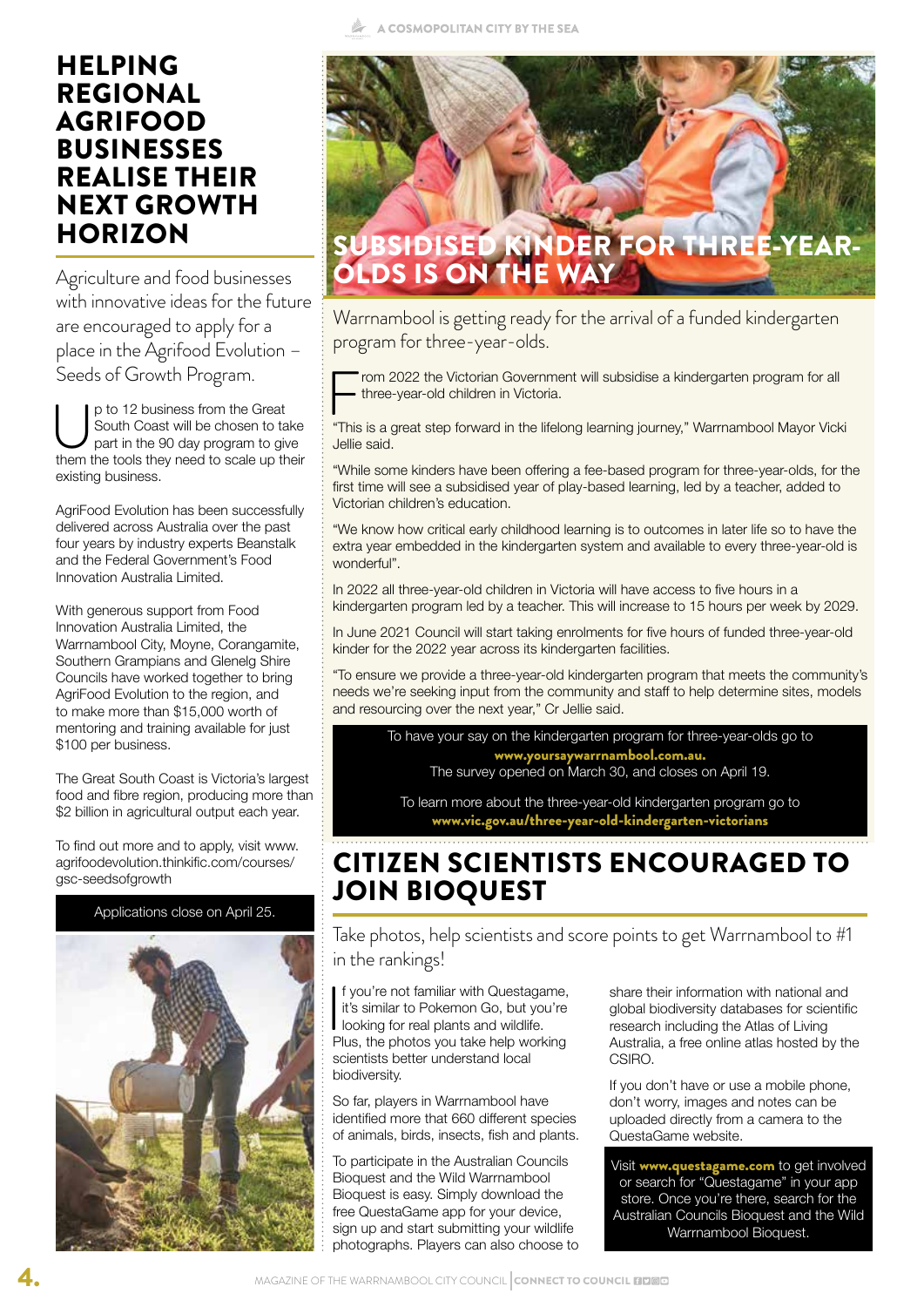#### HELPING REGIONAL AGRIFOOD BUSINESSES REALISE THEIR NEXT GROWTH **HORIZON**

Agriculture and food businesses with innovative ideas for the future are encouraged to apply for a place in the Agrifood Evolution – Seeds of Growth Program.

p to 12 business from the Great<br>South Coast will be chosen to ta<br>part in the 90 day program to give<br>them the tools they need to scale up the South Coast will be chosen to take part in the 90 day program to give them the tools they need to scale up their existing business.

AgriFood Evolution has been successfully delivered across Australia over the past four years by industry experts Beanstalk and the Federal Government's Food Innovation Australia Limited.

With generous support from Food Innovation Australia Limited, the Warrnambool City, Moyne, Corangamite, Southern Grampians and Glenelg Shire Councils have worked together to bring AgriFood Evolution to the region, and to make more than \$15,000 worth of mentoring and training available for just \$100 per business.

The Great South Coast is Victoria's largest food and fibre region, producing more than \$2 billion in agricultural output each year.

To find out more and to apply, visit www. agrifoodevolution.thinkific.com/courses/ gsc-seedsofgrowth





Warrnambool is getting ready for the arrival of a funded kindergarten program for three-year-olds.

rom 2022 the Victorian Government will subsidise a kindergarten program for all three-year-old children in Victoria.

"This is a great step forward in the lifelong learning journey," Warrnambool Mayor Vicki Jellie said.

"While some kinders have been offering a fee-based program for three-year-olds, for the first time will see a subsidised year of play-based learning, led by a teacher, added to Victorian children's education.

"We know how critical early childhood learning is to outcomes in later life so to have the extra year embedded in the kindergarten system and available to every three-year-old is wonderful".

In 2022 all three-year-old children in Victoria will have access to five hours in a kindergarten program led by a teacher. This will increase to 15 hours per week by 2029.

In June 2021 Council will start taking enrolments for five hours of funded three-year-old kinder for the 2022 year across its kindergarten facilities.

"To ensure we provide a three-year-old kindergarten program that meets the community's needs we're seeking input from the community and staff to help determine sites, models and resourcing over the next year," Cr Jellie said.

To have your say on the kindergarten program for three-year-olds go to www.yoursaywarrnambool.com.au. The survey opened on March 30, and closes on April 19.

To learn more about the three-year-old kindergarten program go to www.vic.gov.au/three-year-old-kindergarten-victorians

### CITIZEN SCIENTISTS ENCOURAGED TO JOIN BIOQUEST

Take photos, help scientists and score points to get Warrnambool to #1 in the rankings!

 $\overline{I}$ f you're not familiar with Questagame, it's similar to Pokemon Go, but you're looking for real plants and wildlife. Plus, the photos you take help working scientists better understand local biodiversity.

So far, players in Warrnambool have identified more that 660 different species of animals, birds, insects, fish and plants.

To participate in the Australian Councils Bioquest and the Wild Warrnambool Bioquest is easy. Simply download the free QuestaGame app for your device, sign up and start submitting your wildlife photographs. Players can also choose to

share their information with national and global biodiversity databases for scientific research including the Atlas of Living Australia, a free online atlas hosted by the CSIRO.

If you don't have or use a mobile phone, don't worry, images and notes can be uploaded directly from a camera to the QuestaGame website.

Visit www.questagame.com to get involved or search for "Questagame" in your app store. Once you're there, search for the Australian Councils Bioquest and the Wild Warrnambool Bioquest.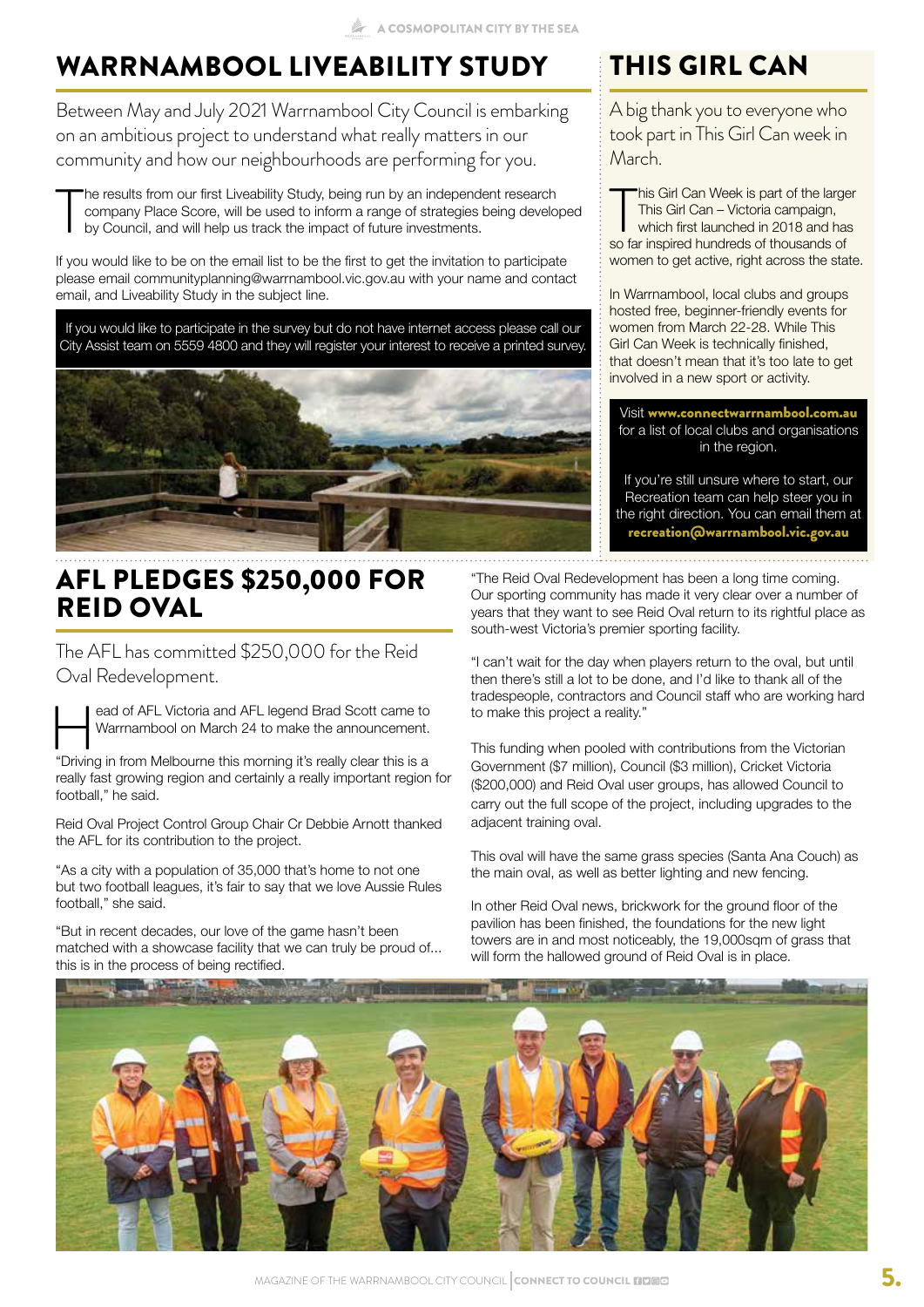# WARRNAMBOOL LIVEABILITY STUDY

Between May and July 2021 Warrnambool City Council is embarking on an ambitious project to understand what really matters in our community and how our neighbourhoods are performing for you.

T he results from our first Liveability Study, being run by an independent research company Place Score, will be used to inform a range of strategies being developed by Council, and will help us track the impact of future investments.

If you would like to be on the email list to be the first to get the invitation to participate please email communityplanning@warrnambool.vic.gov.au with your name and contact email, and Liveability Study in the subject line.

If you would like to participate in the survey but do not have internet access please call our City Assist team on 5559 4800 and they will register your interest to receive a printed survey.



## AFL PLEDGES \$250,000 FOR REID OVAL

The AFL has committed \$250,000 for the Reid

Oval Redevelopment.

ead of AFL Victoria and AFL legend Brad Scott came to<br>Warrnambool on March 24 to make the announcement.<br>"Driving in from Melbourne this morning it's really clear this is a Warrnambool on March 24 to make the announcement.

"Driving in from Melbourne this morning it's really clear this is a really fast growing region and certainly a really important region for football," he said.

Reid Oval Project Control Group Chair Cr Debbie Arnott thanked the AFL for its contribution to the project.

"As a city with a population of 35,000 that's home to not one but two football leagues, it's fair to say that we love Aussie Rules football," she said.

"But in recent decades, our love of the game hasn't been matched with a showcase facility that we can truly be proud of... this is in the process of being rectified.

"The Reid Oval Redevelopment has been a long time coming. Our sporting community has made it very clear over a number of years that they want to see Reid Oval return to its rightful place as south-west Victoria's premier sporting facility.

"I can't wait for the day when players return to the oval, but until then there's still a lot to be done, and I'd like to thank all of the tradespeople, contractors and Council staff who are working hard to make this project a reality."

This funding when pooled with contributions from the Victorian Government (\$7 million), Council (\$3 million), Cricket Victoria (\$200,000) and Reid Oval user groups, has allowed Council to carry out the full scope of the project, including upgrades to the adjacent training oval.

This oval will have the same grass species (Santa Ana Couch) as the main oval, as well as better lighting and new fencing.

In other Reid Oval news, brickwork for the ground floor of the pavilion has been finished, the foundations for the new light towers are in and most noticeably, the 19,000sqm of grass that will form the hallowed ground of Reid Oval is in place.



# THIS GIRL CAN

A big thank you to everyone who took part in This Girl Can week in March.

This Girl Can Week is part of the large<br>This Girl Can – Victoria campaign,<br>which first launched in 2018 and has<br>so far inspired hundreds of thousands of his Girl Can Week is part of the larger This Girl Can – Victoria campaign, which first launched in 2018 and has women to get active, right across the state.

In Warrnambool, local clubs and groups hosted free, beginner-friendly events for women from March 22-28. While This Girl Can Week is technically finished, that doesn't mean that it's too late to get involved in a new sport or activity.

Visit www.connectwarrnambool.com.au for a list of local clubs and organisations in the region.

If you're still unsure where to start, our Recreation team can help steer you in the right direction. You can email them at recreation@warrnambool.vic.gov.au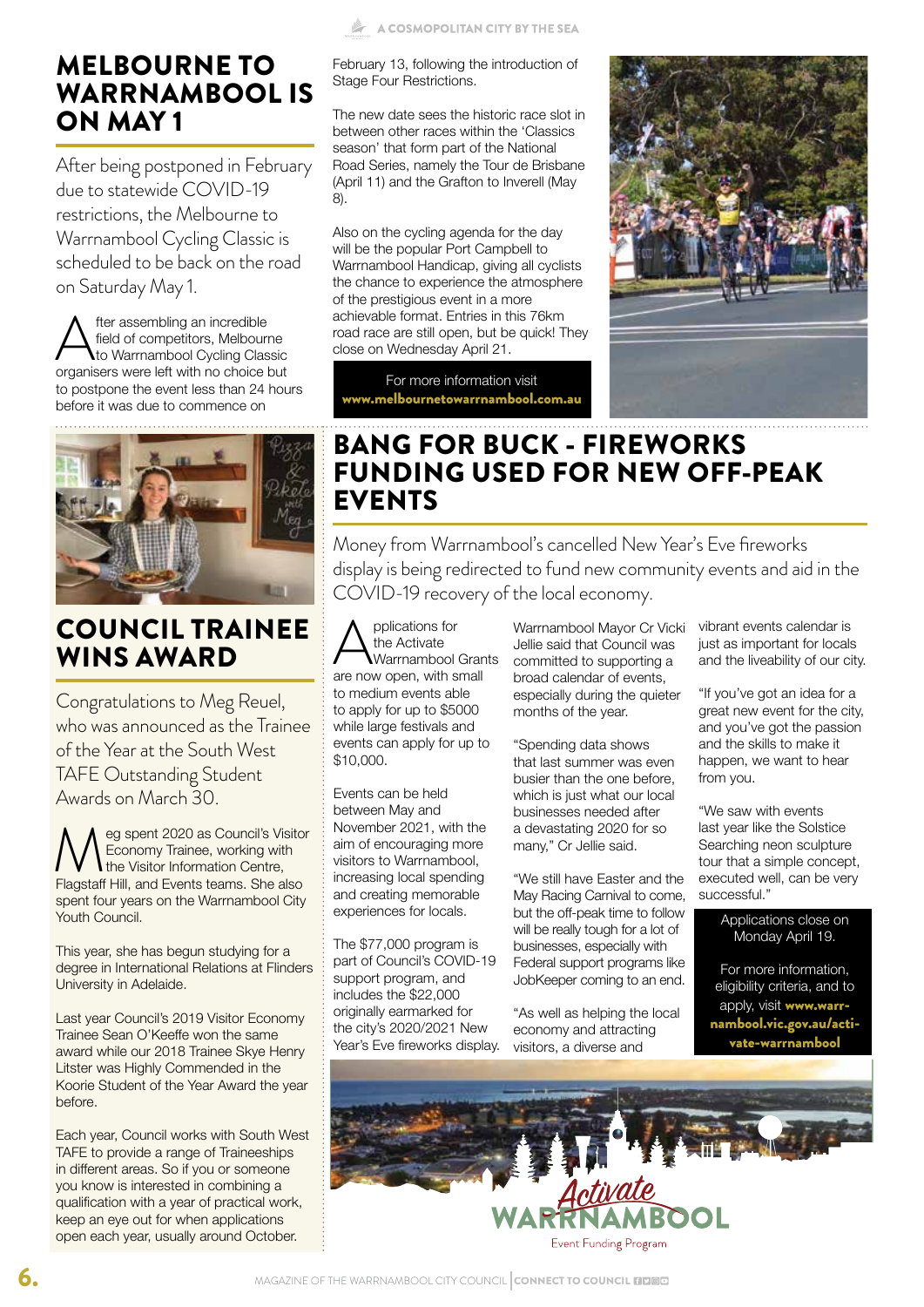#### MELBOURNE TO WARRNAMBOOL IS ON MAY 1

After being postponed in February due to statewide COVID-19 restrictions, the Melbourne to Warrnambool Cycling Classic is scheduled to be back on the road on Saturday May 1.

After assembling an incredible<br>field of competitors, Melbourn<br>organisers were left with no choice b field of competitors, Melbourne to Warrnambool Cycling Classic organisers were left with no choice but to postpone the event less than 24 hours before it was due to commence on



#### COUNCIL TRAINEE WINS AWARD

Congratulations to Meg Reuel, who was announced as the Trainee of the Year at the South West TAFE Outstanding Student Awards on March 30.

**Meg spent 2020 as Council's Visitor<br>Economy Trainee, working with<br>Flagstaff Hill and Events teams. She also** Economy Trainee, working with **the Visitor Information Centre.** Flagstaff Hill, and Events teams. She also spent four years on the Warrnambool City Youth Council.

This year, she has begun studying for a degree in International Relations at Flinders University in Adelaide.

Last year Council's 2019 Visitor Economy Trainee Sean O'Keeffe won the same award while our 2018 Trainee Skye Henry Litster was Highly Commended in the Koorie Student of the Year Award the year before.

Each year, Council works with South West TAFE to provide a range of Traineeships in different areas. So if you or someone you know is interested in combining a qualification with a year of practical work, keep an eye out for when applications open each year, usually around October.

February 13, following the introduction of Stage Four Restrictions.

The new date sees the historic race slot in between other races within the 'Classics season' that form part of the National Road Series, namely the Tour de Brisbane (April 11) and the Grafton to Inverell (May 8).

Also on the cycling agenda for the day will be the popular Port Campbell to Warrnambool Handicap, giving all cyclists the chance to experience the atmosphere of the prestigious event in a more achievable format. Entries in this 76km road race are still open, but be quick! They close on Wednesday April 21.

For more information visit www.melbournetowarrnambool.com.au



### BANG FOR BUCK - FIREWORKS FUNDING USED FOR NEW OFF-PEAK EVENTS

Money from Warrnambool's cancelled New Year's Eve fireworks display is being redirected to fund new community events and aid in the COVID-19 recovery of the local economy.

**A**pplications for<br>
Warrnambool Gran<br>
are now open, with small the Activate Warrnambool Grants to medium events able to apply for up to \$5000 while large festivals and events can apply for up to \$10,000.

Events can be held between May and November 2021, with the aim of encouraging more visitors to Warrnambool, increasing local spending and creating memorable experiences for locals.

The \$77,000 program is part of Council's COVID-19 support program, and includes the \$22,000 originally earmarked for the city's 2020/2021 New Year's Eve fireworks display.

Warrnambool Mayor Cr Vicki Jellie said that Council was committed to supporting a broad calendar of events, especially during the quieter months of the year.

"Spending data shows that last summer was even busier than the one before, which is just what our local businesses needed after a devastating 2020 for so many," Cr Jellie said.

"We still have Easter and the May Racing Carnival to come, but the off-peak time to follow will be really tough for a lot of businesses, especially with Federal support programs like JobKeeper coming to an end.

"As well as helping the local economy and attracting visitors, a diverse and

vibrant events calendar is just as important for locals and the liveability of our city.

"If you've got an idea for a great new event for the city, and you've got the passion and the skills to make it happen, we want to hear from you.

"We saw with events last year like the Solstice Searching neon sculpture tour that a simple concept, executed well, can be very successful."

> Applications close on Monday April 19.

For more information, eligibility criteria, and to apply, visit www.warrnambool.vic.gov.au/activate-warrnambool

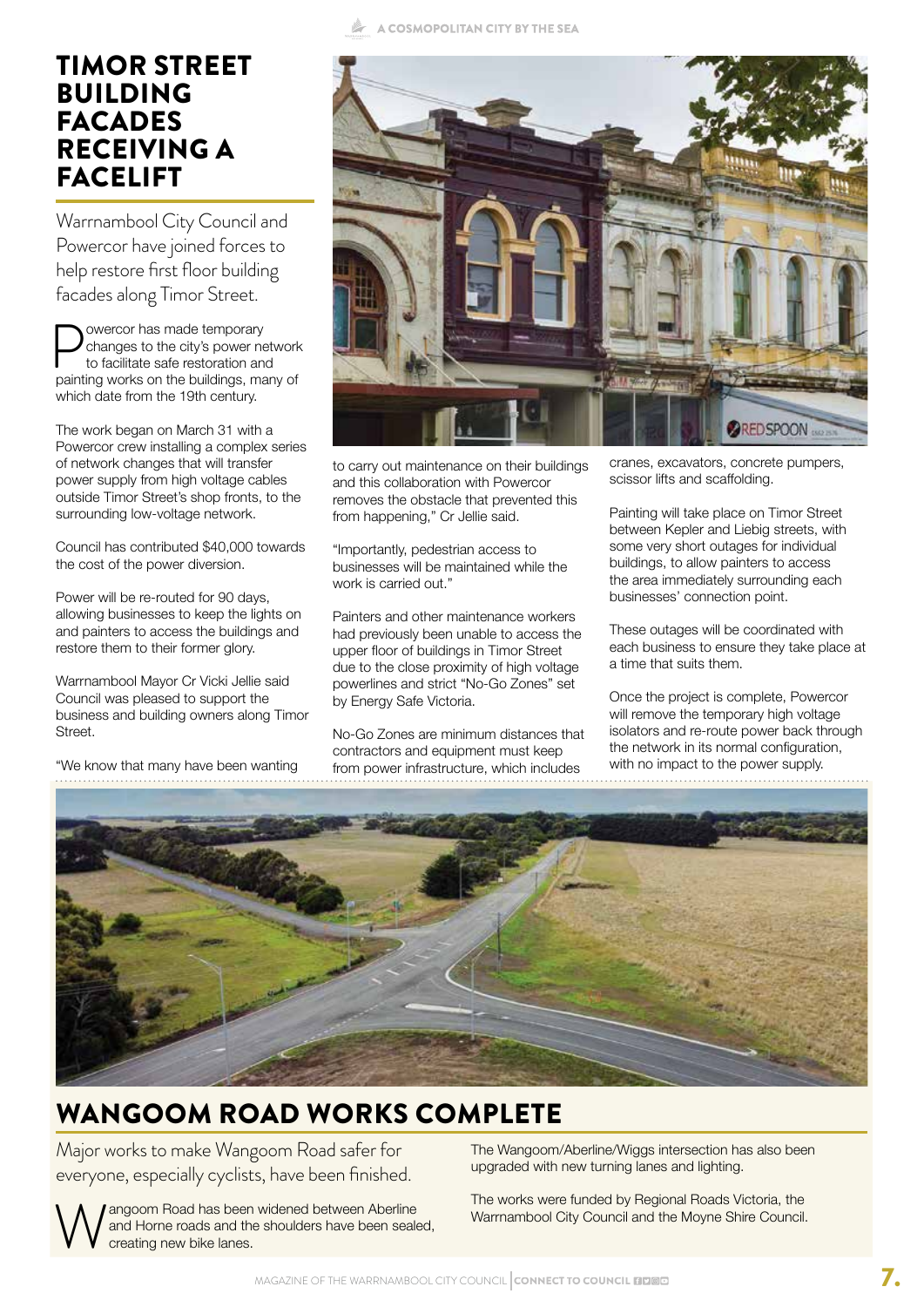#### TIMOR STREET BUILDING FACADES RECEIVING A FACELIFT

Warrnambool City Council and Powercor have joined forces to help restore first floor building facades along Timor Street.

**Powercor has made temporary<br>to facilitate safe restoration and<br>painting works on the buildings. ma** changes to the city's power network to facilitate safe restoration and painting works on the buildings, many of which date from the 19th century.

The work began on March 31 with a Powercor crew installing a complex series of network changes that will transfer power supply from high voltage cables outside Timor Street's shop fronts, to the surrounding low-voltage network.

Council has contributed \$40,000 towards the cost of the power diversion.

Power will be re-routed for 90 days, allowing businesses to keep the lights on and painters to access the buildings and restore them to their former glory.

Warrnambool Mayor Cr Vicki Jellie said Council was pleased to support the business and building owners along Timor Street.

"We know that many have been wanting



to carry out maintenance on their buildings and this collaboration with Powercor removes the obstacle that prevented this from happening," Cr Jellie said.

"Importantly, pedestrian access to businesses will be maintained while the work is carried out."

Painters and other maintenance workers had previously been unable to access the upper floor of buildings in Timor Street due to the close proximity of high voltage powerlines and strict "No-Go Zones" set by Energy Safe Victoria.

No-Go Zones are minimum distances that contractors and equipment must keep from power infrastructure, which includes

cranes, excavators, concrete pumpers, scissor lifts and scaffolding.

Painting will take place on Timor Street between Kepler and Liebig streets, with some very short outages for individual buildings, to allow painters to access the area immediately surrounding each businesses' connection point.

These outages will be coordinated with each business to ensure they take place at a time that suits them.

Once the project is complete, Powercor will remove the temporary high voltage isolators and re-route power back through the network in its normal configuration, with no impact to the power supply.



# WANGOOM ROAD WORKS COMPLETE

Major works to make Wangoom Road safer for everyone, especially cyclists, have been finished.

Wangoom Road has been widened between Aberline<br>and Horne roads and the shoulders have been seak<br>creating new bike lanes. and Horne roads and the shoulders have been sealed, creating new bike lanes.

The Wangoom/Aberline/Wiggs intersection has also been upgraded with new turning lanes and lighting.

The works were funded by Regional Roads Victoria, the Warrnambool City Council and the Moyne Shire Council.